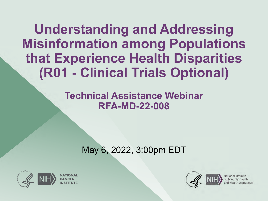**Understanding and Addressing Misinformation among Populations that Experience Health Disparities (R01 - Clinical Trials Optional)**

> **Technical Assistance Webinar RFA-MD-22-008**

> > May 6, 2022, 3:00pm EDT



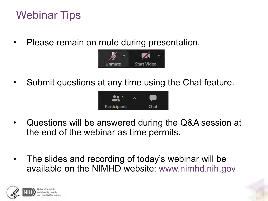### Webinar Tips

• Please remain on mute during presentation.



• Submit questions at any time using the Chat feature.



- *Click to edit Master text styless.* • Questions will be answered during the Q&A session at the end of the webinar as time permits.
- The slides and recording of today's webinar will be available on the NIMHD website: www.nimhd.nih.gov

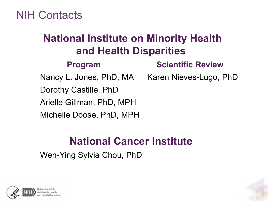NIH Contacts

### and Hodith Biopartition<br>Control Scientific Review **National Institute on Minority Health and Health Disparities**

**Program Scientific Review** 

Nancy L. Jones, PhD, MA Karen Nieves-Lugo, PhD

Dorothy Castille, PhD

Arielle Gillman, PhD, MPH

Michelle Doose, PhD, MPH

#### Constitute to the Master text styles in the Master Second level **National Cancer Institute**

Wen-Ying Sylvia Chou, PhD

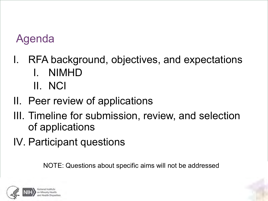### Agenda

- I. RFA background, objectives, and expectations I. NIMHD II. NCI
- II. Peer review of applications
- III. Timeline for submission, review, and selection of applications
- IV. Participant questions

NOTE: Questions about specific aims will not be addressed

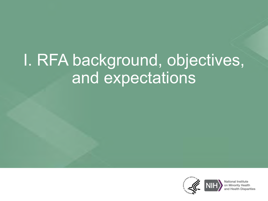# I. RFA background, objectives, and expectations

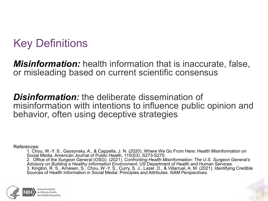### Key Definitions

*Misinformation:* health information that is inaccurate, false, or misleading based on current scientific consensus

*Disinformation:* the deliberate dissemination of misinformation with intentions to influence public opinion and behavior, often using deceptive strategies

References:

1. Chou, W.-Y. S., Gaysynsky, A., & Cappella, J. N. (2020). Where We Go From Here: Health Misinformation on Social Media. American Journal of Public Health, 110(S3), S273-S275. 2. Office of the Surgeon General (OSG). (2021). *Confronting Health Misinformation: The U.S. Surgeon General's Advisory on Building a Healthy Information Environment*. US Department of Health and Human Services. 3. Kington, R. S., Arnesen, S., Chou, W.-Y. S., Curry, S. J., Lazer, D., & Villarruel, A. M. (2021). Identifying Credible Sources of Health Information in Social Media: Principles and Attributes. *NAM Perspectives.*

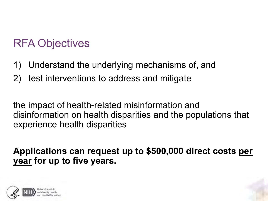### RFA Objectives

- 1) Understand the underlying mechanisms of, and
- 2) test interventions to address and mitigate

the impact of health-related misinformation and disinformation on health disparities and the populations that experience health disparities

**Applications can request up to \$500,000 direct costs per year for up to five years.**

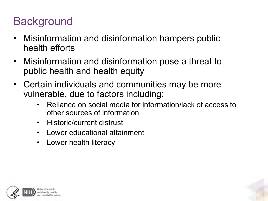### **Background**

- Misinformation and disinformation hampers public health efforts
- Misinformation and disinformation pose a threat to public health and health equity
- Certain individuals and communities may be more vulnerable, due to factors including:
	- Reliance on social media for information/lack of access to other sources of information
	- Historic/current distrust
	- Lower educational attainment
	- Lower health literacy



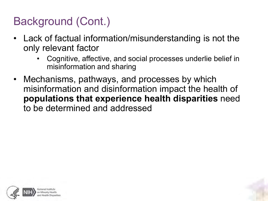### Background (Cont.)

- Lack of factual information/misunderstanding is not the only relevant factor
	- Cognitive, affective, and social processes underlie belief in misinformation and sharing
- Mechanisms, pathways, and processes by which misinformation and disinformation impact the health of **populations that experience health disparities** need to be determined and addressed



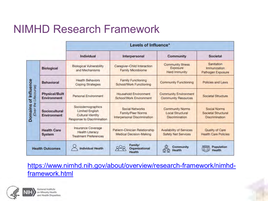### NIMHD Research Framework

|                                               |                                             | Levels of Influence*                                                                                         |                                                                                    |                                                                            |                                                              |
|-----------------------------------------------|---------------------------------------------|--------------------------------------------------------------------------------------------------------------|------------------------------------------------------------------------------------|----------------------------------------------------------------------------|--------------------------------------------------------------|
|                                               |                                             | Individual                                                                                                   | Interpersonal                                                                      | <b>Community</b>                                                           | <b>Societal</b>                                              |
| Domains of Influence<br>(Over the Lifecourse) | <b>Biological</b>                           | <b>Biological Vulnerability</b><br>and Mechanisms                                                            | Caregiver-Child Interaction<br><b>Family Microbiome</b>                            | <b>Community Illness</b><br>Exposure<br><b>Herd Immunity</b>               | Sanitation<br>Immunization<br>Pathogen Exposure              |
|                                               | <b>Behavioral</b>                           | <b>Health Behaviors</b><br><b>Coping Strategies</b>                                                          | <b>Family Functioning</b><br><b>School/Work Functioning</b>                        | <b>Community Functioning</b>                                               | Policies and Laws                                            |
|                                               | <b>Physical/Built</b><br><b>Environment</b> | <b>Personal Environment</b>                                                                                  | <b>Household Environment</b><br>School/Work Environment                            | <b>Community Environment</b><br><b>Community Resources</b>                 | Societal Structure                                           |
|                                               | <b>Sociocultural</b><br><b>Environment</b>  | Sociodemographics<br><b>Limited English</b><br><b>Cultural Identity</b><br><b>Response to Discrimination</b> | <b>Social Networks</b><br><b>Family/Peer Norms</b><br>Interpersonal Discrimination | <b>Community Norms</b><br><b>Local Structural</b><br><b>Discrimination</b> | Social Norms<br>Societal Structural<br><b>Discrimination</b> |
|                                               | <b>Health Care</b><br><b>System</b>         | <b>Insurance Coverage</b><br><b>Health Literacy</b><br><b>Treatment Preferences</b>                          | Patient-Clinician Relationship<br><b>Medical Decision-Making</b>                   | <b>Availability of Services</b><br><b>Safety Net Services</b>              | Quality of Care<br><b>Health Care Policies</b>               |
| <b>Health Outcomes</b>                        |                                             | <b>Individual Health</b>                                                                                     | Family/<br>Organizational<br><b>Health</b>                                         | ⋒<br><b>Community</b><br><b>Health</b>                                     | Population<br><b>Health</b>                                  |

[https://www.nimhd.nih.gov/about/overview/research-framework/nimhd](https://www.nimhd.nih.gov/about/overview/research-framework/nimhd-framework.html)framework.html

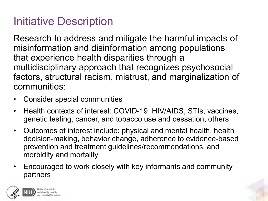### Initiative Description

Research to address and mitigate the harmful impacts of misinformation and disinformation among populations that experience health disparities through a multidisciplinary approach that recognizes psychosocial factors, structural racism, mistrust, and marginalization of communities:

- Consider special communities
- Health contexts of interest: COVID-19, HIV/AIDS, STIs, vaccines, genetic testing, cancer, and tobacco use and cessation, others
- Outcomes of interest include: physical and mental health, health decision-making, behavior change, adherence to evidence-based prevention and treatment guidelines/recommendations, and morbidity and mortality
- Encouraged to work closely with key informants and community partners

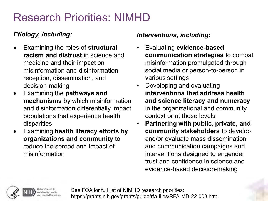### Research Priorities: NIMHD

#### *Etiology, including:*

- Examining the roles of **structural racism and distrust** in science and medicine and their impact on misinformation and disinformation reception, dissemination, and decision-making
- Examining the **pathways and mechanisms** by which misinformation and disinformation differentially impact populations that experience health disparities
- Examining **health literacy efforts by organizations and community** to reduce the spread and impact of misinformation

#### *Interventions, including:*

- Evaluating **evidence-based communication strategies** to combat misinformation promulgated through social media or person-to-person in various settings
- Developing and evaluating **interventions that address health and science literacy and numeracy** in the organizational and community context or at those levels
- **Partnering with public, private, and community stakeholders** to develop and/or evaluate mass dissemination and communication campaigns and interventions designed to engender trust and confidence in science and evidence-based decision-making



See FOA for full list of NIMHD research priorities: https://grants.nih.gov/grants/guide/rfa-files/RFA-MD-22-008.html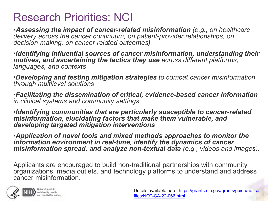### Research Priorities: NCI

•*Assessing the impact of cancer-related misinformation (e.g., on healthcare delivery across the cancer continuum, on patient-provider relationships, on decision-making, on cancer-related outcomes)*

•*Identifying influential sources of cancer misinformation, understanding their motives, and ascertaining the tactics they use across different platforms, languages, and contexts*

•*Developing and testing mitigation strategies to combat cancer misinformation through multilevel solutions*

•*Facilitating the dissemination of critical, evidence-based cancer information in clinical systems and community settings*

•*Identifying communities that are particularly susceptible to cancer-related misinformation, elucidating factors that make them vulnerable, and developing targeted mitigation interventions*

•*Application of novel tools and mixed methods approaches to monitor the information environment in real-time, identify the dynamics of cancer misinformation spread, and analyze non-textual data (e.g., videos and images).*

Applicants are encouraged to build non-traditional partnerships with community organizations, media outlets, and technology platforms to understand and address cancer misinformation.

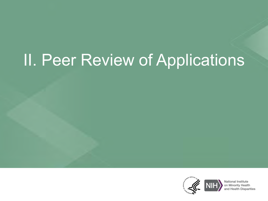# II. Peer Review of Applications

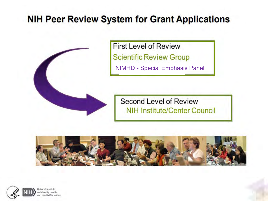### **NIH Peer Review System for Grant Applications**



**First Level of Review Scientific Review Group** NIMHD - Special Emphasis Panel

Second Level of Review **NIH Institute/Center Council** 



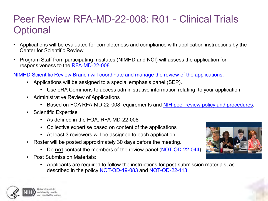### Peer Review RFA-MD-22-008: R01 - Clinical Trials **Optional**

- Applications will be evaluated for completeness and compliance with application instructions by the Center for Scientific Review.
- Program Staff from participating Institutes (NIMHD and NCI) will assess the application for responsiveness to the [RFA-MD-22-008](https://grants.nih.gov/grants/guide/rfa-files/RFA-MD-22-008.html).
- NIMHD Scientific Review Branch will coordinate and manage the review of the applications.
	- Applications will be assigned to a special emphasis panel (SEP).
		- Use eRA Commons to access administrative information relating to your application.
	- Administrative Review of Applications
		- Based on FOA RFA-MD-22-008 requirements and [NIH peer review policy and procedures](https://grants.nih.gov/policy/peer/index.htm).
	- Scientific Expertise
		- As defined in the FOA: RFA-MD-22-008
		- Collective expertise based on content of the applications
		- At least 3 reviewers will be assigned to each application
	- Roster will be posted approximately 30 days before the meeting.
		- Do **not** contact the members of the review panel [\(NOT-OD-22-044\)](https://grants.nih.gov/grants/guide/notice-files/NOT-OD-22-044.html)
	- Post Submission Materials:
		- Applicants are required to follow the instructions for post-submission materials, as described in the policy [NOT-OD-19-083](https://grants.nih.gov/grants/guide/notice-files/NOT-OD-19-083.html) and [NOT-OD-22-113](https://grants.nih.gov/grants/guide/notice-files/NOT-OD-22-113.html).



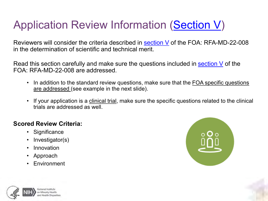### Application Review Information [\(Section V\)](https://grants.nih.gov/grants/guide/rfa-files/RFA-MD-22-008.html#_Section_V._Application)

Reviewers will consider the criteria described in [section V](https://grants.nih.gov/grants/guide/rfa-files/RFA-MD-22-008.html#_Section_V._Application) of the FOA: RFA-MD-22-008 in the determination of scientific and technical merit.

Read this section carefully and make sure the questions included in [section V](https://grants.nih.gov/grants/guide/rfa-files/RFA-MD-22-008.html#_Section_V._Application) of the FOA: RFA-MD-22-008 are addressed.

- In addition to the standard review questions, make sure that the FOA specific questions are addressed (see example in the next slide).
- If your application is a clinical trial, make sure the specific questions related to the clinical trials are addressed as well.

#### **Scored Review Criteria:**

- Significance
- Investigator(s)
- Innovation
- Approach
- Environment



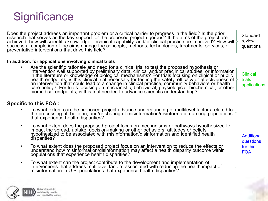

Does the project address an important problem or a critical barrier to progress in the field? Is the prior research that serves as the key support for the proposed project rigorous? If the aims of the project are achieved, how will scientific knowledge, technical capability, and/or clinical practice be improved? How will successful completion of the aims change the concepts, methods, technologies, treatments, services, or preventative interventions that drive this field?

**Standard** review questions

#### **In addition, for applications involving clinical trials**

• Are the scientific rationale and need for a clinical trial to test the proposed hypothesis or intervention well supported by preliminary data, clinical and/or preclinical studies, or information in the literature or knowledge of biological mechanisms? For trials focusing on clinical or public health endpoints, is this clinical trial necessary for testing the safety, efficacy or effectiveness of an intervention that could lead to a change in clinical practice, community behaviors or health care policy? For trials focusing on mechanistic, behavioral, physiological, biochemical, or other biomedical endpoints, is this trial needed to advance scientific understanding?

Clinical trials applications

#### **Specific to this FOA :**

- To what extent can the proposed project advance understanding of multilevel factors related to the processing of, belief in, and/or sharing of misinformation/disinformation among populations that experience health disparities?
- To what extent does the proposed project focus on mechanisms or pathways hypothesized to hypothesized to be associated with misinformation/disinformation and identified health disparities?
- To what extent does the proposed project focus on an intervention to reduce the effects or understand how misinformation/disinformation may affect a health disparity outcome within populations that experience health disparities?
- To what extent can the project contribute to the development and implementation of interventions that address multilevel factors associated with reducing the health impact of misinformation in U.S. populations that experience health disparities?



**Additional** questions for this FOA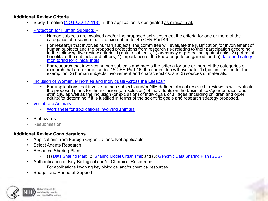#### **Additional Review Criteria**

- Study Timeline [\(NOT-OD-17-118\)](https://grants.nih.gov/grants/guide/notice-files/NOT-OD-17-118.html) if the application is designated as clinical trial.
- [Protection for Human Subjects](https://grants.nih.gov/grants/guide/url_redirect.htm?id=11175) 
	- Human subjects are involved and/or the proposed activities meet the criteria for one or more of the categories óf research that are exempt under 45 CFR Part 46.
	- For research that involves human subjects, the committee will evaluate the justification for involvement of human subjects and the proposed protections from research risk relating to their participation according<br>to the following five review criteria: 1) risk to subjects, 2) adequacy of protection against risks, 3) potential benefits to the subjects and others, 4) importance of the knowledge to be gained, and 5) <u>data and safety</u><br><u>monitoring for clinical trials</u>.
	- For research that involves human subjects and meets the criteria for one or more of the categories of research that are exempt under 45 CFR Part 46, the committee will evaluate: 1) the justification for the exemption, 2) human subjects involvement and characteristics, and 3) sources of materials.
- [Inclusion of Women, Minorities and Individuals Across the Lifespan](https://grants.nih.gov/grants/peer/guidelines_general/Review_Human_Subjects_Inclusion.pdf)
	- For applications that involve human subjects and/or NIH-defined clinical research, reviewers will evaluate<br>the proposed plans for the inclusion (or exclusion) of individuals on the basis of sex/gender, race, and<br>ethni adults) to determine if it is justified in terms of the scientific goals and research strategy proposed.
- [Vertebrate Animals](https://olaw.nih.gov/guidance/vertebrate-animal-section.htm)
	- [Worksheet for applications involving animals](https://grants.nih.gov/grants/olaw/VASchecklist.pdf)
- Biohazards
- Resubmission

#### **Additional Review Considerations**

- Applications from Foreign Organizations: Not applicable
- Select Agents Research
- Resource Sharing Plans
	- (1) [Data Sharing Plan;](https://grants.nih.gov/grants/guide/url_redirect.htm?id=11151) (2) [Sharing Model Organisms;](https://grants.nih.gov/grants/policy/model_organism/) and (3) [Genomic Data Sharing Plan \(GDS\)](https://osp.od.nih.gov/scientific-sharing/policies/)
- Authentication of Key Biological and/or Chemical Resources
	- For applications involving key biological and/or chemical resources
- Budget and Period of Support

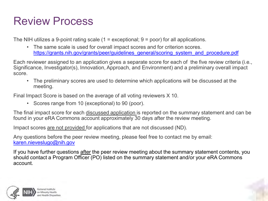### Review Process

The NIH utilizes a 9-point rating scale  $(1 =$  exceptional;  $9 =$  poor) for all applications.

• The same scale is used for overall impact scores and for criterion scores. [https://grants.nih.gov/grants/peer/guidelines\\_general/scoring\\_system\\_and\\_procedure.pdf](https://grants.nih.gov/grants/peer/guidelines_general/scoring_system_and_procedure.pdf)

Each reviewer assigned to an application gives a separate score for each of the five review criteria (i.e., Significance, Investigator(s), Innovation, Approach, and Environment) and a preliminary overall impact score.

• The preliminary scores are used to determine which applications will be discussed at the meeting.

Final Impact Score is based on the average of all voting reviewers X 10.

• Scores range from 10 (exceptional) to 90 (poor).

The final impact score for each discussed application is reported on the summary statement and can be found in your eRA Commons account approximately 30 days after the review meeting.

Impact scores are not provided for applications that are not discussed (ND).

Any questions before the peer review meeting, please feel free to contact me by email: [karen.nieveslugo@nih.gov](mailto:karen.nieveslugo@nih.gov)

If you have further questions after the peer review meeting about the summary statement contents, you should contact a Program Officer (PO) listed on the summary statement and/or your eRA Commons account.

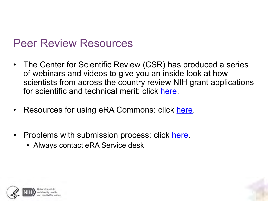### Peer Review Resources

- The Center for Scientific Review (CSR) has produced a series of webinars and videos to give you an inside look at how scientists from across the country review NIH grant applications for scientific and technical merit: click [here](https://public.csr.nih.gov/NewsAndPolicy/PeerReviewVideos).
- Resources for using eRA Commons: click [here](https://www.era.nih.gov/sites/default/files/eRA-Commons-Resources.pdf).
- Problems with submission process: click [here.](https://www.era.nih.gov/need-help)
	- Always contact eRA Service desk



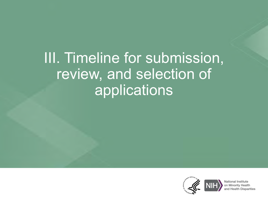## III. Timeline for submission, review, and selection of applications

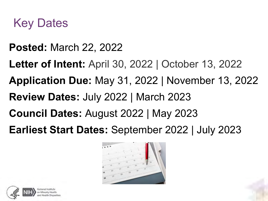

- **Posted:** March 22, 2022
- **Letter of Intent:** April 30, 2022 | October 13, 2022
- **Application Due:** May 31, 2022 | November 13, 2022
- **Review Dates:** July 2022 | March 2023
- **Council Dates:** August 2022 | May 2023
- **Earliest Start Dates:** September 2022 | July 2023



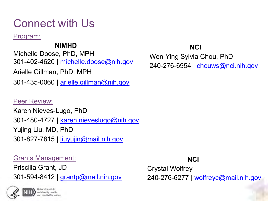### Connect with Us

Program:

#### **NIMHD**

Michelle Doose, PhD, MPH 301-402-4620 | [michelle.doose@nih.gov](mailto:michelle.doose@nih.gov) Arielle Gillman, PhD, MPH

301-435-0060 | [arielle.gillman@nih.gov](mailto:arielle.gillman@nih.gov)

#### Peer Review:

Karen Nieves-Lugo, PhD 301-480-4727 | [karen.nieveslugo@nih.gov](mailto:karen.nieveslugo@nih.gov) Yujing Liu, MD, PhD 301-827-7815 | [liuyujin@mail.nih.gov](mailto:liuyujin@mail.nih.gov)

#### Grants Management:

Priscilla Grant, JD 301-594-8412 | [grantp@mail.nih.gov](mailto:grantp@mail.nih.gov)



#### **NCI**

Wen-Ying Sylvia Chou, PhD 240-276-6954 | [chouws@nci.nih.gov](mailto:chouws@nci.nih.gov)

#### **NCI**

Crystal Wolfrey 240-276-6277 | [wolfreyc@mail.nih.gov](mailto:wolfreyc@mail.nih.gov)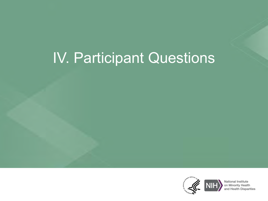## IV. Participant Questions